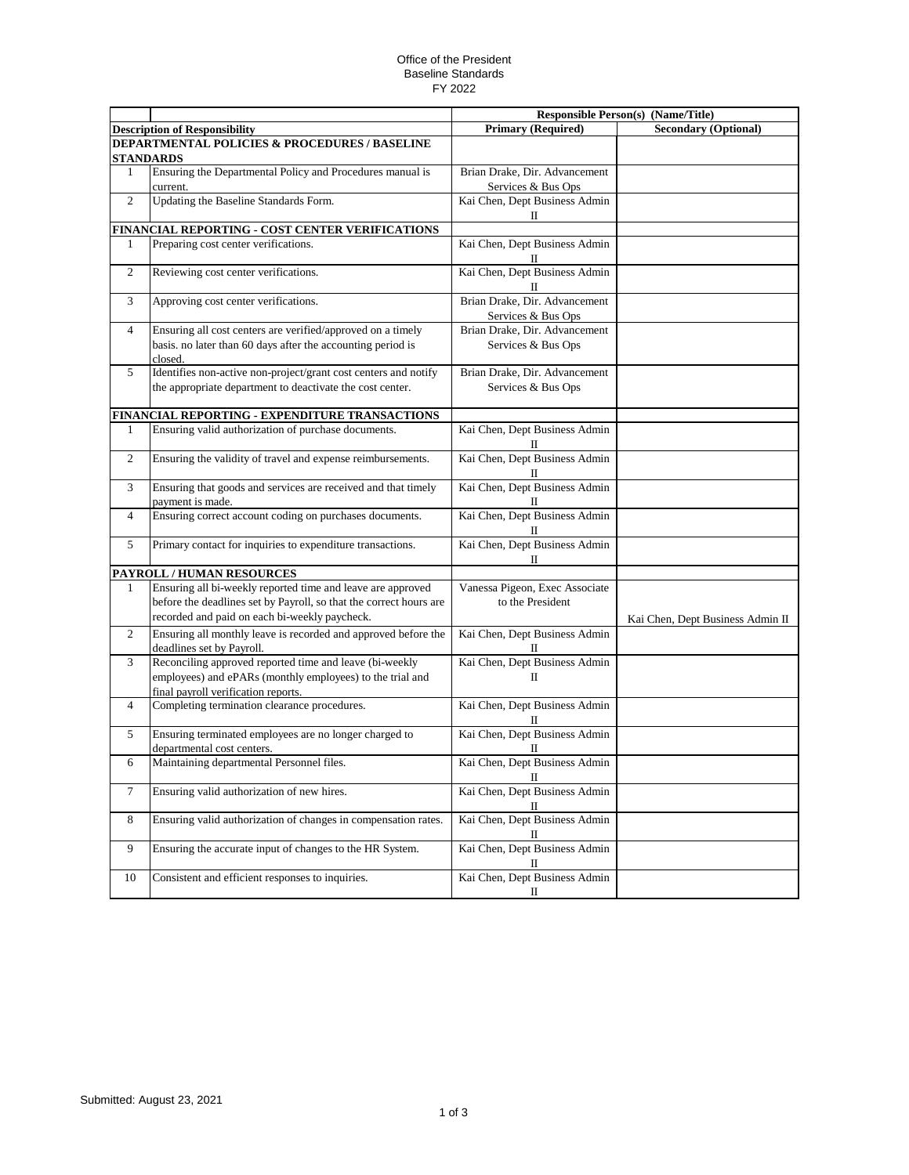## Office of the President Baseline Standards FY 2022

|                                               |                                                                                      | <b>Responsible Person(s) (Name/Title)</b>             |                                  |  |  |  |
|-----------------------------------------------|--------------------------------------------------------------------------------------|-------------------------------------------------------|----------------------------------|--|--|--|
|                                               | <b>Description of Responsibility</b>                                                 | <b>Primary (Required)</b>                             | <b>Secondary (Optional)</b>      |  |  |  |
| DEPARTMENTAL POLICIES & PROCEDURES / BASELINE |                                                                                      |                                                       |                                  |  |  |  |
|                                               | STANDARDS                                                                            |                                                       |                                  |  |  |  |
| 1                                             | Ensuring the Departmental Policy and Procedures manual is                            | Brian Drake, Dir. Advancement                         |                                  |  |  |  |
|                                               | current.                                                                             | Services & Bus Ops                                    |                                  |  |  |  |
| 2                                             | Updating the Baseline Standards Form.                                                | Kai Chen, Dept Business Admin                         |                                  |  |  |  |
|                                               |                                                                                      | П                                                     |                                  |  |  |  |
|                                               | FINANCIAL REPORTING - COST CENTER VERIFICATIONS                                      |                                                       |                                  |  |  |  |
| 1                                             | Preparing cost center verifications.                                                 | Kai Chen, Dept Business Admin                         |                                  |  |  |  |
|                                               |                                                                                      | П                                                     |                                  |  |  |  |
| 2                                             | Reviewing cost center verifications.                                                 | Kai Chen, Dept Business Admin                         |                                  |  |  |  |
|                                               |                                                                                      | П                                                     |                                  |  |  |  |
| 3                                             | Approving cost center verifications.                                                 | Brian Drake, Dir. Advancement                         |                                  |  |  |  |
|                                               |                                                                                      | Services & Bus Ops                                    |                                  |  |  |  |
| $\overline{4}$                                | Ensuring all cost centers are verified/approved on a timely                          | Brian Drake, Dir. Advancement                         |                                  |  |  |  |
|                                               | basis. no later than 60 days after the accounting period is                          | Services & Bus Ops                                    |                                  |  |  |  |
|                                               | closed.                                                                              |                                                       |                                  |  |  |  |
| 5                                             | Identifies non-active non-project/grant cost centers and notify                      | Brian Drake, Dir. Advancement                         |                                  |  |  |  |
|                                               | the appropriate department to deactivate the cost center.                            | Services & Bus Ops                                    |                                  |  |  |  |
|                                               |                                                                                      |                                                       |                                  |  |  |  |
|                                               | FINANCIAL REPORTING - EXPENDITURE TRANSACTIONS                                       |                                                       |                                  |  |  |  |
| 1                                             | Ensuring valid authorization of purchase documents.                                  | Kai Chen, Dept Business Admin<br>П                    |                                  |  |  |  |
| 2                                             | Ensuring the validity of travel and expense reimbursements.                          | Kai Chen, Dept Business Admin<br>П                    |                                  |  |  |  |
| 3                                             | Ensuring that goods and services are received and that timely                        | Kai Chen, Dept Business Admin                         |                                  |  |  |  |
|                                               | payment is made.                                                                     | $\scriptstyle\rm II$                                  |                                  |  |  |  |
| 4                                             | Ensuring correct account coding on purchases documents.                              | Kai Chen, Dept Business Admin<br>$\scriptstyle\rm II$ |                                  |  |  |  |
| 5                                             | Primary contact for inquiries to expenditure transactions.                           | Kai Chen, Dept Business Admin<br>П                    |                                  |  |  |  |
|                                               | PAYROLL / HUMAN RESOURCES                                                            |                                                       |                                  |  |  |  |
| 1                                             | Ensuring all bi-weekly reported time and leave are approved                          | Vanessa Pigeon, Exec Associate                        |                                  |  |  |  |
|                                               | before the deadlines set by Payroll, so that the correct hours are                   | to the President                                      |                                  |  |  |  |
|                                               | recorded and paid on each bi-weekly paycheck.                                        |                                                       |                                  |  |  |  |
| 2                                             |                                                                                      |                                                       | Kai Chen, Dept Business Admin II |  |  |  |
|                                               | Ensuring all monthly leave is recorded and approved before the                       | Kai Chen, Dept Business Admin                         |                                  |  |  |  |
| 3                                             | deadlines set by Payroll.<br>Reconciling approved reported time and leave (bi-weekly | $\Pi$<br>Kai Chen, Dept Business Admin                |                                  |  |  |  |
|                                               | employees) and ePARs (monthly employees) to the trial and                            | $\Pi$                                                 |                                  |  |  |  |
|                                               | final payroll verification reports.                                                  |                                                       |                                  |  |  |  |
| $\overline{4}$                                | Completing termination clearance procedures.                                         | Kai Chen, Dept Business Admin                         |                                  |  |  |  |
|                                               |                                                                                      | П                                                     |                                  |  |  |  |
| 5                                             | Ensuring terminated employees are no longer charged to                               | Kai Chen, Dept Business Admin                         |                                  |  |  |  |
|                                               | departmental cost centers.                                                           | П                                                     |                                  |  |  |  |
| 6                                             | Maintaining departmental Personnel files.                                            | Kai Chen, Dept Business Admin                         |                                  |  |  |  |
|                                               |                                                                                      | П                                                     |                                  |  |  |  |
| $\tau$                                        | Ensuring valid authorization of new hires.                                           | Kai Chen, Dept Business Admin                         |                                  |  |  |  |
| 8                                             | Ensuring valid authorization of changes in compensation rates.                       | П<br>Kai Chen, Dept Business Admin                    |                                  |  |  |  |
|                                               |                                                                                      | П                                                     |                                  |  |  |  |
| 9                                             | Ensuring the accurate input of changes to the HR System.                             | Kai Chen, Dept Business Admin<br>П                    |                                  |  |  |  |
| 10                                            | Consistent and efficient responses to inquiries.                                     | Kai Chen, Dept Business Admin                         |                                  |  |  |  |
|                                               |                                                                                      | П                                                     |                                  |  |  |  |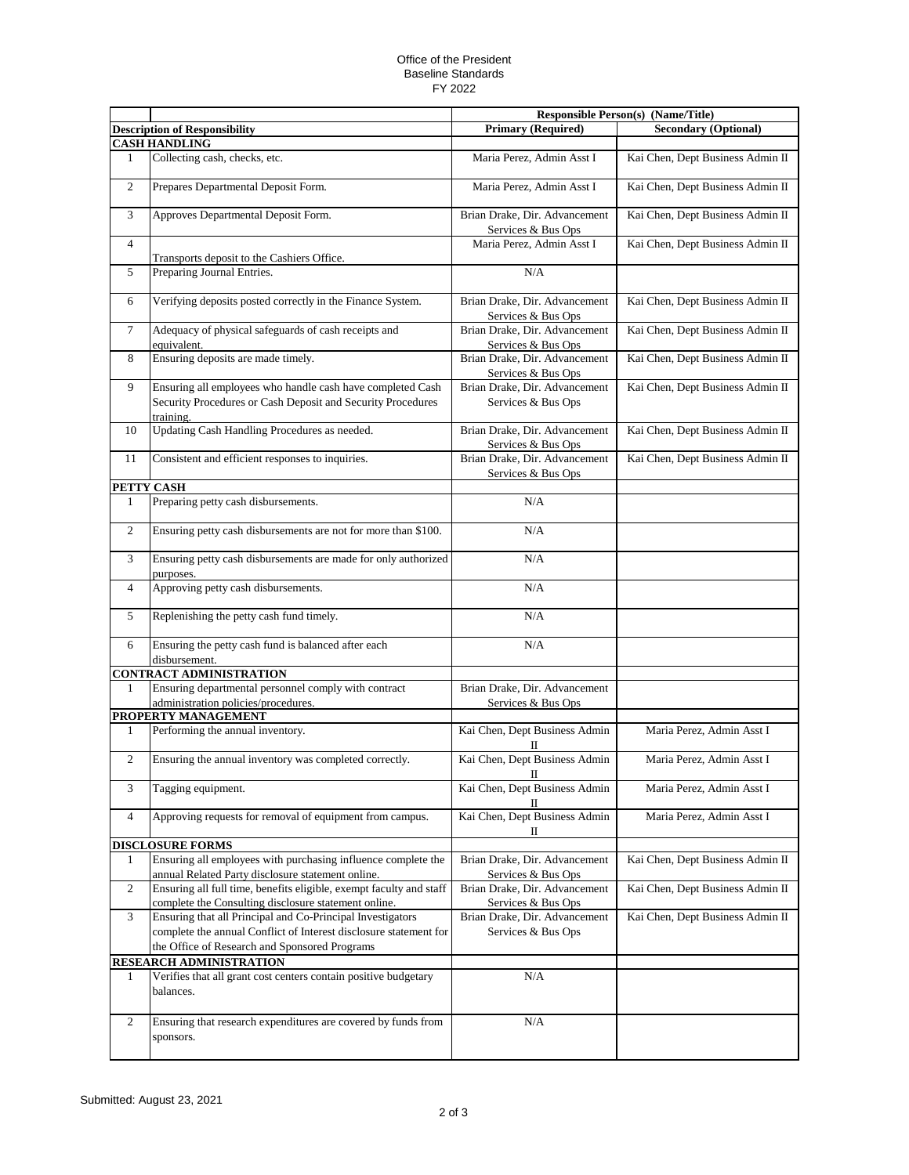## Office of the President Baseline Standards FY 2022

|                      |                                                                                                                             |                                                     | <b>Responsible Person(s) (Name/Title)</b> |
|----------------------|-----------------------------------------------------------------------------------------------------------------------------|-----------------------------------------------------|-------------------------------------------|
|                      | <b>Description of Responsibility</b>                                                                                        | <b>Primary (Required)</b>                           | <b>Secondary (Optional)</b>               |
| <b>CASH HANDLING</b> |                                                                                                                             |                                                     |                                           |
| 1                    | Collecting cash, checks, etc.                                                                                               | Maria Perez, Admin Asst I                           | Kai Chen, Dept Business Admin II          |
| $\overline{c}$       | Prepares Departmental Deposit Form.                                                                                         | Maria Perez, Admin Asst I                           | Kai Chen, Dept Business Admin II          |
| 3                    | Approves Departmental Deposit Form.                                                                                         | Brian Drake, Dir. Advancement<br>Services & Bus Ops | Kai Chen, Dept Business Admin II          |
| $\overline{4}$       |                                                                                                                             | Maria Perez, Admin Asst I                           | Kai Chen, Dept Business Admin II          |
|                      | Transports deposit to the Cashiers Office.                                                                                  |                                                     |                                           |
| 5                    | Preparing Journal Entries.                                                                                                  | N/A                                                 |                                           |
| 6                    | Verifying deposits posted correctly in the Finance System.                                                                  | Brian Drake, Dir. Advancement<br>Services & Bus Ops | Kai Chen, Dept Business Admin II          |
| $\tau$               | Adequacy of physical safeguards of cash receipts and<br>equivalent.                                                         | Brian Drake, Dir. Advancement<br>Services & Bus Ops | Kai Chen, Dept Business Admin II          |
| 8                    | Ensuring deposits are made timely.                                                                                          | Brian Drake, Dir. Advancement<br>Services & Bus Ops | Kai Chen, Dept Business Admin II          |
| 9                    | Ensuring all employees who handle cash have completed Cash                                                                  | Brian Drake, Dir. Advancement                       | Kai Chen, Dept Business Admin II          |
|                      | Security Procedures or Cash Deposit and Security Procedures                                                                 | Services & Bus Ops                                  |                                           |
| 10                   | training.<br>Updating Cash Handling Procedures as needed.                                                                   | Brian Drake, Dir. Advancement                       |                                           |
|                      |                                                                                                                             | Services & Bus Ops                                  | Kai Chen, Dept Business Admin II          |
| 11                   | Consistent and efficient responses to inquiries.                                                                            | Brian Drake, Dir. Advancement<br>Services & Bus Ops | Kai Chen, Dept Business Admin II          |
|                      | PETTY CASH                                                                                                                  |                                                     |                                           |
| 1                    | Preparing petty cash disbursements.                                                                                         | N/A                                                 |                                           |
| 2                    | Ensuring petty cash disbursements are not for more than \$100.                                                              | N/A                                                 |                                           |
| 3                    | Ensuring petty cash disbursements are made for only authorized<br>purposes.                                                 | N/A                                                 |                                           |
| $\overline{4}$       | Approving petty cash disbursements.                                                                                         | N/A                                                 |                                           |
| 5                    | Replenishing the petty cash fund timely.                                                                                    | N/A                                                 |                                           |
| 6                    | Ensuring the petty cash fund is balanced after each<br>disbursement.                                                        | N/A                                                 |                                           |
|                      | <b>CONTRACT ADMINISTRATION</b>                                                                                              |                                                     |                                           |
| $\mathbf{1}$         | Ensuring departmental personnel comply with contract<br>administration policies/procedures.                                 | Brian Drake, Dir. Advancement<br>Services & Bus Ops |                                           |
|                      | PROPERTY MANAGEMENT                                                                                                         |                                                     |                                           |
| 1                    | Performing the annual inventory.                                                                                            | Kai Chen, Dept Business Admin<br>П                  | Maria Perez, Admin Asst I                 |
| $\overline{c}$       | Ensuring the annual inventory was completed correctly.                                                                      | Kai Chen, Dept Business Admin                       | Maria Perez, Admin Asst I                 |
| 3                    | Tagging equipment.                                                                                                          | П<br>Kai Chen, Dept Business Admin                  | Maria Perez, Admin Asst I                 |
| $\overline{4}$       | Approving requests for removal of equipment from campus.                                                                    | П<br>Kai Chen, Dept Business Admin                  | Maria Perez, Admin Asst I                 |
|                      |                                                                                                                             | П                                                   |                                           |
| 1                    | <b>DISCLOSURE FORMS</b><br>Ensuring all employees with purchasing influence complete the                                    | Brian Drake, Dir. Advancement                       | Kai Chen, Dept Business Admin II          |
|                      | annual Related Party disclosure statement online.                                                                           | Services & Bus Ops                                  |                                           |
| $\overline{c}$       | Ensuring all full time, benefits eligible, exempt faculty and staff<br>complete the Consulting disclosure statement online. | Brian Drake, Dir. Advancement<br>Services & Bus Ops | Kai Chen, Dept Business Admin II          |
| 3                    | Ensuring that all Principal and Co-Principal Investigators                                                                  | Brian Drake, Dir. Advancement                       | Kai Chen, Dept Business Admin II          |
|                      | complete the annual Conflict of Interest disclosure statement for                                                           | Services & Bus Ops                                  |                                           |
|                      | the Office of Research and Sponsored Programs                                                                               |                                                     |                                           |
| 1                    | RESEARCH ADMINISTRATION<br>Verifies that all grant cost centers contain positive budgetary                                  | N/A                                                 |                                           |
|                      | balances.                                                                                                                   |                                                     |                                           |
| $\overline{c}$       | Ensuring that research expenditures are covered by funds from<br>sponsors.                                                  | N/A                                                 |                                           |
|                      |                                                                                                                             |                                                     |                                           |